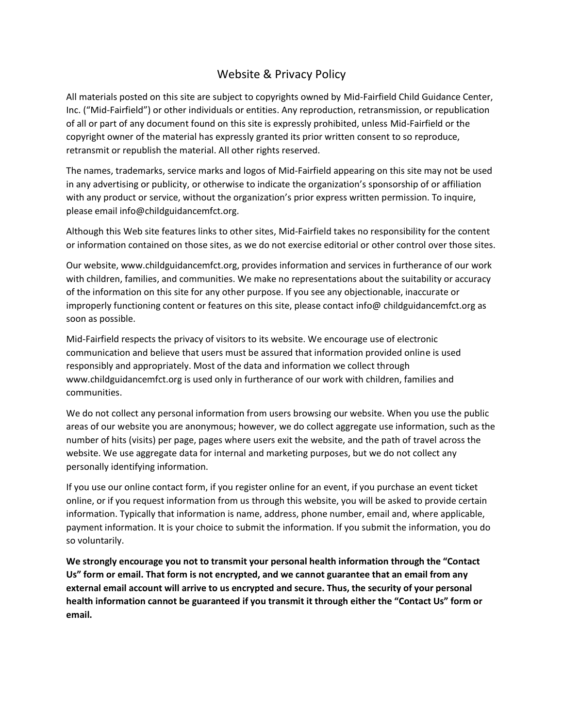## Website & Privacy Policy

All materials posted on this site are subject to copyrights owned by Mid-Fairfield Child Guidance Center, Inc. ("Mid-Fairfield") or other individuals or entities. Any reproduction, retransmission, or republication of all or part of any document found on this site is expressly prohibited, unless Mid-Fairfield or the copyright owner of the material has expressly granted its prior written consent to so reproduce, retransmit or republish the material. All other rights reserved.

The names, trademarks, service marks and logos of Mid-Fairfield appearing on this site may not be used in any advertising or publicity, or otherwise to indicate the organization's sponsorship of or affiliation with any product or service, without the organization's prior express written permission. To inquire, please email info@childguidancemfct.org.

Although this Web site features links to other sites, Mid-Fairfield takes no responsibility for the content or information contained on those sites, as we do not exercise editorial or other control over those sites.

Our website, www.childguidancemfct.org, provides information and services in furtherance of our work with children, families, and communities. We make no representations about the suitability or accuracy of the information on this site for any other purpose. If you see any objectionable, inaccurate or improperly functioning content or features on this site, please contact info@ childguidancemfct.org as soon as possible.

Mid-Fairfield respects the privacy of visitors to its website. We encourage use of electronic communication and believe that users must be assured that information provided online is used responsibly and appropriately. Most of the data and information we collect through www.childguidancemfct.org is used only in furtherance of our work with children, families and communities.

We do not collect any personal information from users browsing our website. When you use the public areas of our website you are anonymous; however, we do collect aggregate use information, such as the number of hits (visits) per page, pages where users exit the website, and the path of travel across the website. We use aggregate data for internal and marketing purposes, but we do not collect any personally identifying information.

If you use our online contact form, if you register online for an event, if you purchase an event ticket online, or if you request information from us through this website, you will be asked to provide certain information. Typically that information is name, address, phone number, email and, where applicable, payment information. It is your choice to submit the information. If you submit the information, you do so voluntarily.

**We strongly encourage you not to transmit your personal health information through the "Contact Us" form or email. That form is not encrypted, and we cannot guarantee that an email from any external email account will arrive to us encrypted and secure. Thus, the security of your personal health information cannot be guaranteed if you transmit it through either the "Contact Us" form or email.**